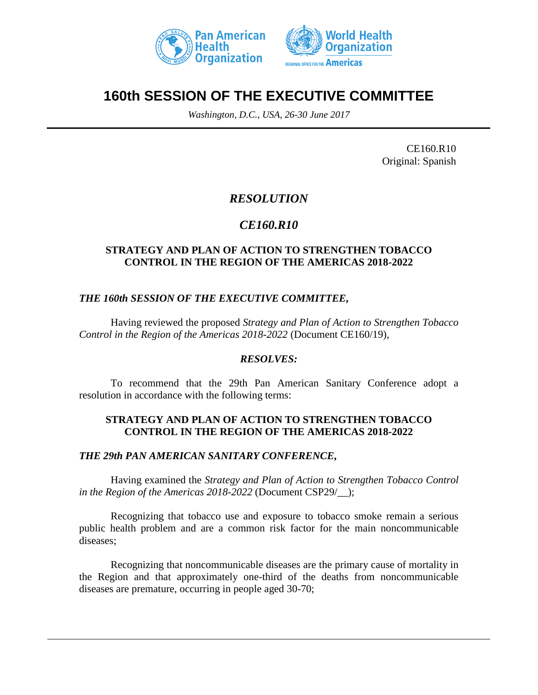



# **160th SESSION OF THE EXECUTIVE COMMITTEE**

*Washington, D.C., USA, 26-30 June 2017*

CE160.R10 Original: Spanish

# *RESOLUTION*

## *CE160.R10*

### **STRATEGY AND PLAN OF ACTION TO STRENGTHEN TOBACCO CONTROL IN THE REGION OF THE AMERICAS 2018-2022**

#### *THE 160th SESSION OF THE EXECUTIVE COMMITTEE,*

Having reviewed the proposed *Strategy and Plan of Action to Strengthen Tobacco Control in the Region of the Americas 2018-2022* (Document CE160/19),

#### *RESOLVES:*

To recommend that the 29th Pan American Sanitary Conference adopt a resolution in accordance with the following terms:

#### **STRATEGY AND PLAN OF ACTION TO STRENGTHEN TOBACCO CONTROL IN THE REGION OF THE AMERICAS 2018-2022**

#### *THE 29th PAN AMERICAN SANITARY CONFERENCE,*

Having examined the *Strategy and Plan of Action to Strengthen Tobacco Control in the Region of the Americas 2018-2022* (Document CSP29/\_\_);

Recognizing that tobacco use and exposure to tobacco smoke remain a serious public health problem and are a common risk factor for the main noncommunicable diseases;

Recognizing that noncommunicable diseases are the primary cause of mortality in the Region and that approximately one-third of the deaths from noncommunicable diseases are premature, occurring in people aged 30-70;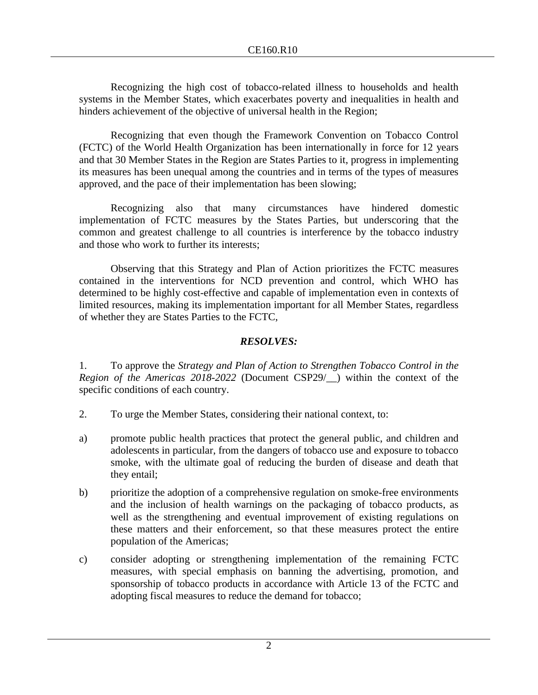Recognizing the high cost of tobacco-related illness to households and health systems in the Member States, which exacerbates poverty and inequalities in health and hinders achievement of the objective of universal health in the Region;

Recognizing that even though the Framework Convention on Tobacco Control (FCTC) of the World Health Organization has been internationally in force for 12 years and that 30 Member States in the Region are States Parties to it, progress in implementing its measures has been unequal among the countries and in terms of the types of measures approved, and the pace of their implementation has been slowing;

Recognizing also that many circumstances have hindered domestic implementation of FCTC measures by the States Parties, but underscoring that the common and greatest challenge to all countries is interference by the tobacco industry and those who work to further its interests;

Observing that this Strategy and Plan of Action prioritizes the FCTC measures contained in the interventions for NCD prevention and control, which WHO has determined to be highly cost-effective and capable of implementation even in contexts of limited resources, making its implementation important for all Member States, regardless of whether they are States Parties to the FCTC,

### *RESOLVES:*

1. To approve the *Strategy and Plan of Action to Strengthen Tobacco Control in the Region of the Americas 2018-2022* (Document CSP29/\_\_) within the context of the specific conditions of each country.

- 2. To urge the Member States, considering their national context, to:
- a) promote public health practices that protect the general public, and children and adolescents in particular, from the dangers of tobacco use and exposure to tobacco smoke, with the ultimate goal of reducing the burden of disease and death that they entail;
- b) prioritize the adoption of a comprehensive regulation on smoke-free environments and the inclusion of health warnings on the packaging of tobacco products, as well as the strengthening and eventual improvement of existing regulations on these matters and their enforcement, so that these measures protect the entire population of the Americas;
- c) consider adopting or strengthening implementation of the remaining FCTC measures, with special emphasis on banning the advertising, promotion, and sponsorship of tobacco products in accordance with Article 13 of the FCTC and adopting fiscal measures to reduce the demand for tobacco;